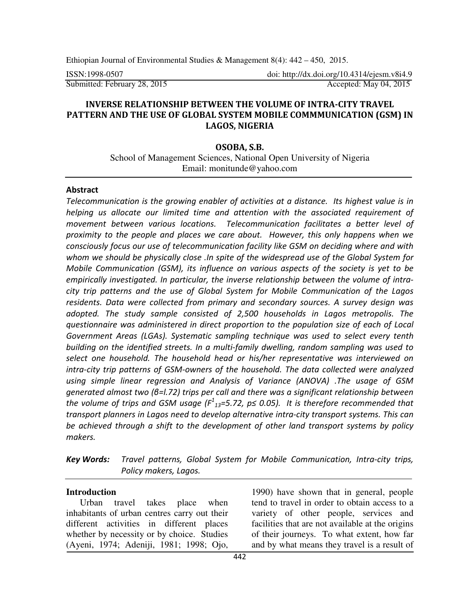Ethiopian Journal of Environmental Studies & Management 8(4): 442 – 450, 2015.

ISSN:1998-0507 doi: http://dx.doi.org/10.4314/ejesm.v8i4.9 Submitted: February 28, 2015 Accepted: May 04, 2015

## **INVERSE RELATIONSHIP BETWEEN THE VOLUME OF INTRA-CITY TRAVEL PATTERN AND THE USE OF GLOBAL SYSTEM MOBILE COMMMUNICATION (GSM) IN LAGOS, NIGERIA**

## **OSOBA, S.B.**

School of Management Sciences, National Open University of Nigeria Email: monitunde@yahoo.com

## **Abstract**

*Telecommunication is the growing enabler of activities at a distance. Its highest value is in helping us allocate our limited time and attention with the associated requirement of movement between various locations. Telecommunication facilitates a better level of proximity to the people and places we care about. However, this only happens when we consciously focus our use of telecommunication facility like GSM on deciding where and with whom we should be physically close .In spite of the widespread use of the Global System for Mobile Communication (GSM), its influence on various aspects of the society is yet to be empirically investigated. In particular, the inverse relationship between the volume of intracity trip patterns and the use of Global System for Mobile Communication of the Lagos residents. Data were collected from primary and secondary sources. A survey design was adopted. The study sample consisted of 2,500 households in Lagos metropolis. The questionnaire was administered in direct proportion to the population size of each of Local Government Areas (LGAs). Systematic sampling technique was used to select every tenth building on the identified streets. In a multi-family dwelling, random sampling was used to select one household. The household head or his/her representative was interviewed on intra-city trip patterns of GSM-owners of the household. The data collected were analyzed using simple linear regression and Analysis of Variance (ANOVA) .The usage of GSM generated almost two (β=l.72) trips per call and there was a significant relationship between the volume of trips and GSM usage (F<sup>1</sup> <sup>13</sup>=5.72, p≤ 0.05). It is therefore recommended that transport planners in Lagos need to develop alternative intra-city transport systems. This can be achieved through a shift to the development of other land transport systems by policy makers.* 

*Key Words: Travel patterns, Global System for Mobile Communication, Intra-city trips, Policy makers, Lagos.* 

## **Introduction**

Urban travel takes place when inhabitants of urban centres carry out their different activities in different places whether by necessity or by choice. Studies (Ayeni, 1974; Adeniji, 1981; 1998; Ojo,

1990) have shown that in general, people tend to travel in order to obtain access to a variety of other people, services and facilities that are not available at the origins of their journeys. To what extent, how far and by what means they travel is a result of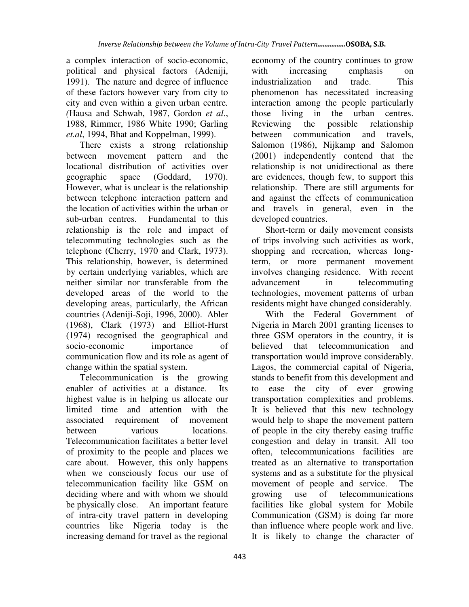a complex interaction of socio-economic, political and physical factors (Adeniji, 1991). The nature and degree of influence of these factors however vary from city to city and even within a given urban centre*. (*Hausa and Schwab, 1987, Gordon *et al*., 1988, Rimmer, 1986 White 1990; Garling *et.al*, 1994, Bhat and Koppelman, 1999).

There exists a strong relationship between movement pattern and the locational distribution of activities over geographic space (Goddard, 1970). However, what is unclear is the relationship between telephone interaction pattern and the location of activities within the urban or sub-urban centres. Fundamental to this relationship is the role and impact of telecommuting technologies such as the telephone (Cherry, 1970 and Clark, 1973). This relationship, however, is determined by certain underlying variables, which are neither similar nor transferable from the developed areas of the world to the developing areas, particularly, the African countries (Adeniji-Soji, 1996, 2000). Abler (1968), Clark (1973) and Elliot-Hurst (1974) recognised the geographical and socio-economic importance of communication flow and its role as agent of change within the spatial system.

Telecommunication is the growing enabler of activities at a distance. Its highest value is in helping us allocate our limited time and attention with the associated requirement of movement between various locations. Telecommunication facilitates a better level of proximity to the people and places we care about. However, this only happens when we consciously focus our use of telecommunication facility like GSM on deciding where and with whom we should be physically close. An important feature of intra-city travel pattern in developing countries like Nigeria today is the increasing demand for travel as the regional economy of the country continues to grow with increasing emphasis on industrialization and trade. This phenomenon has necessitated increasing interaction among the people particularly those living in the urban centres. Reviewing the possible relationship between communication and travels, Salomon (1986), Nijkamp and Salomon (2001) independently contend that the relationship is not unidirectional as there are evidences, though few, to support this relationship. There are still arguments for and against the effects of communication and travels in general, even in the developed countries.

Short-term or daily movement consists of trips involving such activities as work, shopping and recreation, whereas longterm, or more permanent movement involves changing residence. With recent advancement in telecommuting technologies, movement patterns of urban residents might have changed considerably.

With the Federal Government of Nigeria in March 2001 granting licenses to three GSM operators in the country, it is believed that telecommunication and transportation would improve considerably. Lagos, the commercial capital of Nigeria, stands to benefit from this development and to ease the city of ever growing transportation complexities and problems. It is believed that this new technology would help to shape the movement pattern of people in the city thereby easing traffic congestion and delay in transit. All too often, telecommunications facilities are treated as an alternative to transportation systems and as a substitute for the physical movement of people and service. The growing use of telecommunications facilities like global system for Mobile Communication (GSM) is doing far more than influence where people work and live. It is likely to change the character of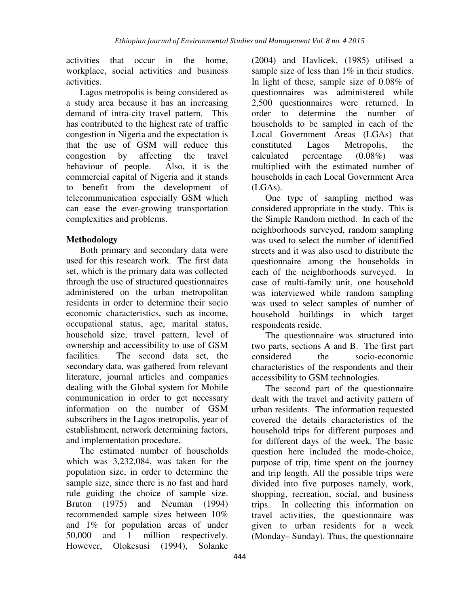activities that occur in the home, workplace, social activities and business activities.

Lagos metropolis is being considered as a study area because it has an increasing demand of intra-city travel pattern. This has contributed to the highest rate of traffic congestion in Nigeria and the expectation is that the use of GSM will reduce this congestion by affecting the travel behaviour of people. Also, it is the commercial capital of Nigeria and it stands to benefit from the development of telecommunication especially GSM which can ease the ever-growing transportation complexities and problems.

# **Methodology**

Both primary and secondary data were used for this research work. The first data set, which is the primary data was collected through the use of structured questionnaires administered on the urban metropolitan residents in order to determine their socio economic characteristics, such as income, occupational status, age, marital status, household size, travel pattern, level of ownership and accessibility to use of GSM facilities. The second data set, the secondary data, was gathered from relevant literature, journal articles and companies dealing with the Global system for Mobile communication in order to get necessary information on the number of GSM subscribers in the Lagos metropolis, year of establishment, network determining factors, and implementation procedure.

The estimated number of households which was 3,232,084, was taken for the population size, in order to determine the sample size, since there is no fast and hard rule guiding the choice of sample size. Bruton (1975) and Neuman (1994) recommended sample sizes between 10% and 1% for population areas of under 50,000 and 1 million respectively. However, Olokesusi (1994), Solanke (2004) and Havlicek, (1985) utilised a sample size of less than 1% in their studies. In light of these, sample size of 0.08% of questionnaires was administered while 2,500 questionnaires were returned. In order to determine the number of households to be sampled in each of the Local Government Areas (LGAs) that constituted Lagos Metropolis, the calculated percentage (0.08%) was multiplied with the estimated number of households in each Local Government Area (LGAs).

One type of sampling method was considered appropriate in the study. This is the Simple Random method. In each of the neighborhoods surveyed, random sampling was used to select the number of identified streets and it was also used to distribute the questionnaire among the households in each of the neighborhoods surveyed. In case of multi-family unit, one household was interviewed while random sampling was used to select samples of number of household buildings in which target respondents reside.

The questionnaire was structured into two parts, sections A and B. The first part considered the socio-economic characteristics of the respondents and their accessibility to GSM technologies.

The second part of the questionnaire dealt with the travel and activity pattern of urban residents. The information requested covered the details characteristics of the household trips for different purposes and for different days of the week. The basic question here included the mode-choice, purpose of trip, time spent on the journey and trip length. All the possible trips were divided into five purposes namely, work, shopping, recreation, social, and business trips. In collecting this information on travel activities, the questionnaire was given to urban residents for a week (Monday– Sunday). Thus, the questionnaire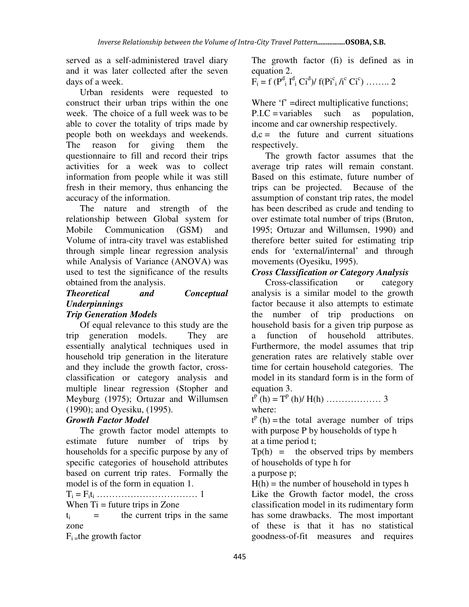served as a self-administered travel diary and it was later collected after the seven days of a week.

Urban residents were requested to construct their urban trips within the one week. The choice of a full week was to be able to cover the totality of trips made by people both on weekdays and weekends. The reason for giving them the questionnaire to fill and record their trips activities for a week was to collect information from people while it was still fresh in their memory, thus enhancing the accuracy of the information.

The nature and strength of the relationship between Global system for Mobile Communication (GSM) and Volume of intra-city travel was established through simple linear regression analysis while Analysis of Variance (ANOVA) was used to test the significance of the results obtained from the analysis.

# *Theoretical and Conceptual Underpinnings*

# *Trip Generation Models*

Of equal relevance to this study are the trip generation models. They are essentially analytical techniques used in household trip generation in the literature and they include the growth factor, crossclassification or category analysis and multiple linear regression (Stopher and Meyburg (1975); Ortuzar and Willumsen (1990); and Oyesiku, (1995).

## *Growth Factor Model*

The growth factor model attempts to estimate future number of trips by households for a specific purpose by any of specific categories of household attributes based on current trip rates. Formally the model is of the form in equation 1.

Ti = Fit<sup>i</sup> …………………………… 1

When  $Ti =$  future trips in Zone

ti = the current trips in the same zone

 $F_i$ <sub>=</sub>the growth factor

The growth factor (fi) is defined as in equation 2.

 $F_i = f (P^d_i I^d_i C i^d) / f (P i^c_i / i^c C i^c) \dots \dots 2$ 

Where 'f' =direct multiplicative functions; P.I.C = variables such as population, income and car ownership respectively.  $d, c =$  the future and current situations respectively.

The growth factor assumes that the average trip rates will remain constant. Based on this estimate, future number of trips can be projected. Because of the assumption of constant trip rates, the model has been described as crude and tending to over estimate total number of trips (Bruton, 1995; Ortuzar and Willumsen, 1990) and therefore better suited for estimating trip ends for 'external/internal' and through movements (Oyesiku, 1995).

# *Cross Classification or Category Analysis*

Cross-classification or category analysis is a similar model to the growth factor because it also attempts to estimate the number of trip productions on household basis for a given trip purpose as a function of household attributes. Furthermore, the model assumes that trip generation rates are relatively stable over time for certain household categories. The model in its standard form is in the form of equation 3.

t p (h) = T<sup>p</sup> (h)/ H(h) ……………… 3 where:

 $t^{p}$  (h) = the total average number of trips with purpose P by households of type h

at a time period t;

 $Tp(h)$  = the observed trips by members of households of type h for

a purpose p;

 $H(h)$  = the number of household in types h

Like the Growth factor model, the cross classification model in its rudimentary form has some drawbacks. The most important of these is that it has no statistical goodness-of-fit measures and requires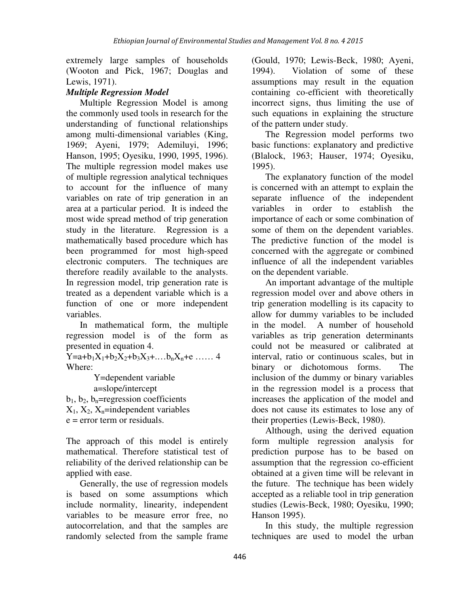extremely large samples of households (Wooton and Pick, 1967; Douglas and Lewis, 1971).

# *Multiple Regression Model*

Multiple Regression Model is among the commonly used tools in research for the understanding of functional relationships among multi-dimensional variables (King, 1969; Ayeni, 1979; Ademiluyi, 1996; Hanson, 1995; Oyesiku, 1990, 1995, 1996). The multiple regression model makes use of multiple regression analytical techniques to account for the influence of many variables on rate of trip generation in an area at a particular period. It is indeed the most wide spread method of trip generation study in the literature. Regression is a mathematically based procedure which has been programmed for most high-speed electronic computers. The techniques are therefore readily available to the analysts. In regression model, trip generation rate is treated as a dependent variable which is a function of one or more independent variables.

In mathematical form, the multiple regression model is of the form as presented in equation 4.

 $Y=a+b_1X_1+b_2X_2+b_3X_3+\ldots+b_nX_n+e \ldots$  4 Where:

 Y=dependent variable a=slope/intercept  $b_1$ ,  $b_2$ ,  $b_n$ =regression coefficients  $X_1, X_2, X_n$ =independent variables  $e = error$  term or residuals.

The approach of this model is entirely mathematical. Therefore statistical test of reliability of the derived relationship can be applied with ease.

Generally, the use of regression models is based on some assumptions which include normality, linearity, independent variables to be measure error free, no autocorrelation, and that the samples are randomly selected from the sample frame

(Gould, 1970; Lewis-Beck, 1980; Ayeni, 1994). Violation of some of these assumptions may result in the equation containing co-efficient with theoretically incorrect signs, thus limiting the use of such equations in explaining the structure of the pattern under study.

The Regression model performs two basic functions: explanatory and predictive (Blalock, 1963; Hauser, 1974; Oyesiku, 1995).

The explanatory function of the model is concerned with an attempt to explain the separate influence of the independent variables in order to establish the importance of each or some combination of some of them on the dependent variables. The predictive function of the model is concerned with the aggregate or combined influence of all the independent variables on the dependent variable.

An important advantage of the multiple regression model over and above others in trip generation modelling is its capacity to allow for dummy variables to be included in the model. A number of household variables as trip generation determinants could not be measured or calibrated at interval, ratio or continuous scales, but in binary or dichotomous forms. The inclusion of the dummy or binary variables in the regression model is a process that increases the application of the model and does not cause its estimates to lose any of their properties (Lewis-Beck, 1980).

Although, using the derived equation form multiple regression analysis for prediction purpose has to be based on assumption that the regression co-efficient obtained at a given time will be relevant in the future. The technique has been widely accepted as a reliable tool in trip generation studies (Lewis-Beck, 1980; Oyesiku, 1990; Hanson 1995).

In this study, the multiple regression techniques are used to model the urban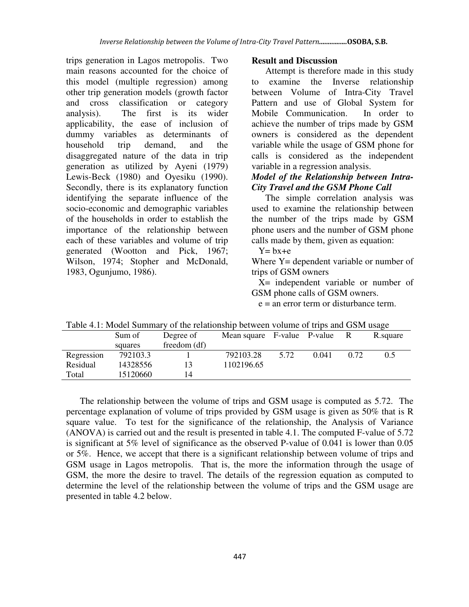trips generation in Lagos metropolis. Two main reasons accounted for the choice of this model (multiple regression) among other trip generation models (growth factor and cross classification or category analysis). The first is its wider applicability, the ease of inclusion of dummy variables as determinants of household trip demand, and the disaggregated nature of the data in trip generation as utilized by Ayeni (1979) Lewis-Beck (1980) and Oyesiku (1990). Secondly, there is its explanatory function identifying the separate influence of the socio-economic and demographic variables of the households in order to establish the importance of the relationship between each of these variables and volume of trip generated (Wootton and Pick, 1967; Wilson, 1974; Stopher and McDonald, 1983, Ogunjumo, 1986).

## **Result and Discussion**

Attempt is therefore made in this study to examine the Inverse relationship between Volume of Intra-City Travel Pattern and use of Global System for Mobile Communication.In order to achieve the number of trips made by GSM owners is considered as the dependent variable while the usage of GSM phone for calls is considered as the independent variable in a regression analysis.

## *Model of the Relationship between Intra-City Travel and the GSM Phone Call*

The simple correlation analysis was used to examine the relationship between the number of the trips made by GSM phone users and the number of GSM phone calls made by them, given as equation:

 $Y = bx + e$ 

Where Y= dependent variable or number of trips of GSM owners

 X= independent variable or number of GSM phone calls of GSM owners.

e = an error term or disturbance term.

| Table 4.1: Model Summary of the relationship between volume of trips and GSM usage |          |              |                             |      |       |      |          |  |  |
|------------------------------------------------------------------------------------|----------|--------------|-----------------------------|------|-------|------|----------|--|--|
|                                                                                    | Sum of   | Degree of    | Mean square F-value P-value |      |       | R    | R.square |  |  |
|                                                                                    | squares  | freedom (df) |                             |      |       |      |          |  |  |
| Regression                                                                         | 792103.3 |              | 792103.28                   | 5.72 | 0.041 | 0.72 | 0.5      |  |  |
| Residual                                                                           | 14328556 | 13           | 1102196.65                  |      |       |      |          |  |  |
| Total                                                                              | 15120660 | 14           |                             |      |       |      |          |  |  |

Table 4.1: Model Summary of the relationship between volume of trips and GSM usage

The relationship between the volume of trips and GSM usage is computed as 5.72. The percentage explanation of volume of trips provided by GSM usage is given as 50% that is R square value. To test for the significance of the relationship, the Analysis of Variance (ANOVA) is carried out and the result is presented in table 4.1. The computed F-value of 5.72 is significant at 5% level of significance as the observed P-value of 0.041 is lower than 0.05 or 5%. Hence, we accept that there is a significant relationship between volume of trips and GSM usage in Lagos metropolis. That is, the more the information through the usage of GSM, the more the desire to travel. The details of the regression equation as computed to determine the level of the relationship between the volume of trips and the GSM usage are presented in table 4.2 below.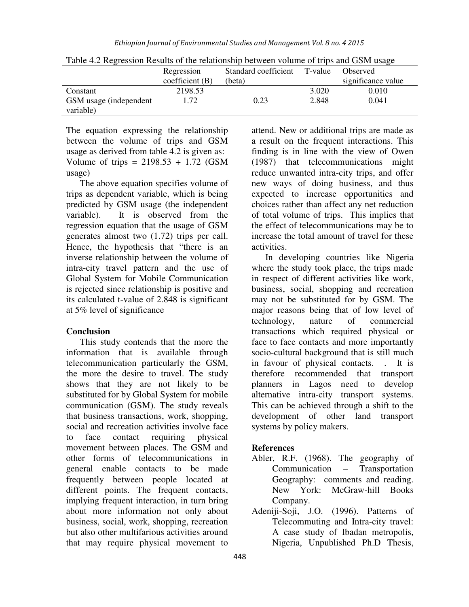*Ethiopian Journal of Environmental Studies and Management Vol. 8 no. 4 2015* 

|                        | Standard coefficient<br>Regression |       | T-value | Observed           |  |
|------------------------|------------------------------------|-------|---------|--------------------|--|
|                        | coefficient(B)                     | beta) |         | significance value |  |
| Constant               | 2198.53                            |       | 3.020   | 0.010              |  |
| GSM usage (independent | 1.72                               | 0.23  | 2.848   | 0.041              |  |
| variable)              |                                    |       |         |                    |  |

Table 4.2 Regression Results of the relationship between volume of trips and GSM usage

The equation expressing the relationship between the volume of trips and GSM usage as derived from table 4.2 is given as: Volume of trips =  $2198.53 + 1.72$  (GSM) usage)

The above equation specifies volume of trips as dependent variable, which is being predicted by GSM usage (the independent variable). It is observed from the regression equation that the usage of GSM generates almost two (1.72) trips per call. Hence, the hypothesis that "there is an inverse relationship between the volume of intra-city travel pattern and the use of Global System for Mobile Communication is rejected since relationship is positive and its calculated t-value of 2.848 is significant at 5% level of significance

#### **Conclusion**

This study contends that the more the information that is available through telecommunication particularly the GSM, the more the desire to travel. The study shows that they are not likely to be substituted for by Global System for mobile communication (GSM). The study reveals that business transactions, work, shopping, social and recreation activities involve face to face contact requiring physical movement between places. The GSM and other forms of telecommunications in general enable contacts to be made frequently between people located at different points. The frequent contacts, implying frequent interaction, in turn bring about more information not only about business, social, work, shopping, recreation but also other multifarious activities around that may require physical movement to

attend. New or additional trips are made as a result on the frequent interactions. This finding is in line with the view of Owen (1987) that telecommunications might reduce unwanted intra-city trips, and offer new ways of doing business, and thus expected to increase opportunities and choices rather than affect any net reduction of total volume of trips. This implies that the effect of telecommunications may be to increase the total amount of travel for these activities.

In developing countries like Nigeria where the study took place, the trips made in respect of different activities like work, business, social, shopping and recreation may not be substituted for by GSM. The major reasons being that of low level of technology, nature of commercial transactions which required physical or face to face contacts and more importantly socio-cultural background that is still much in favour of physical contacts. . It is therefore recommended that transport planners in Lagos need to develop alternative intra-city transport systems. This can be achieved through a shift to the development of other land transport systems by policy makers.

## **References**

- Abler, R.F. (1968). The geography of Communication – Transportation Geography: comments and reading. New York: McGraw-hill Books Company.
- Adeniji-Soji, J.O. (1996). Patterns of Telecommuting and Intra-city travel: A case study of Ibadan metropolis, Nigeria, Unpublished Ph.D Thesis,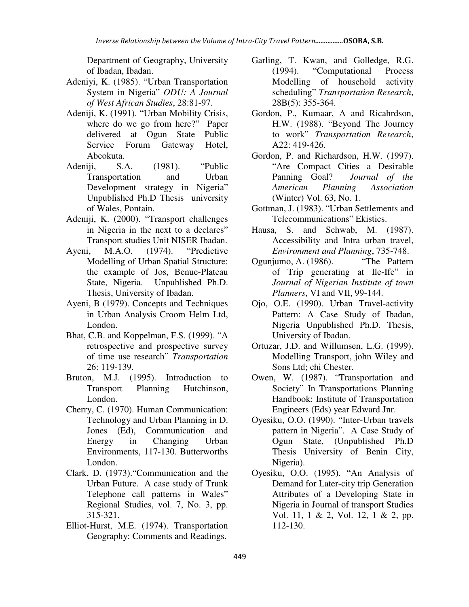Department of Geography, University of Ibadan, Ibadan.

- Adeniyi, K. (1985). "Urban Transportation System in Nigeria" *ODU: A Journal of West African Studies*, 28:81-97.
- Adeniji, K. (1991). "Urban Mobility Crisis, where do we go from here?" Paper delivered at Ogun State Public Service Forum Gateway Hotel, Abeokuta.
- Adeniji, S.A. (1981). "Public Transportation and Urban Development strategy in Nigeria" Unpublished Ph.D Thesis university of Wales, Pontain.
- Adeniji, K. (2000). "Transport challenges in Nigeria in the next to a declares" Transport studies Unit NISER Ibadan.
- Ayeni, M.A.O. (1974). "Predictive Modelling of Urban Spatial Structure: the example of Jos, Benue-Plateau State, Nigeria. Unpublished Ph.D. Thesis, University of Ibadan.
- Ayeni, B (1979). Concepts and Techniques in Urban Analysis Croom Helm Ltd, London.
- Bhat, C.B. and Koppelman, F.S. (1999). "A retrospective and prospective survey of time use research" *Transportation* 26: 119-139.
- Bruton, M.J. (1995). Introduction to Transport Planning Hutchinson, London.
- Cherry, C. (1970). Human Communication: Technology and Urban Planning in D. Jones (Ed), Communication and Energy in Changing Urban Environments, 117-130. Butterworths London.
- Clark, D. (1973)."Communication and the Urban Future. A case study of Trunk Telephone call patterns in Wales" Regional Studies, vol. 7, No. 3, pp. 315-321.
- Elliot-Hurst, M.E. (1974). Transportation Geography: Comments and Readings.
- Garling, T. Kwan, and Golledge, R.G. (1994). "Computational Process Modelling of household activity scheduling" *Transportation Research*, 28B(5): 355-364.
- Gordon, P., Kumaar, A and Ricahrdson, H.W. (1988). "Beyond The Journey to work" *Transportation Research*, A22: 419-426.
- Gordon, P. and Richardson, H.W. (1997). "Are Compact Cities a Desirable Panning Goal? *Journal of the American Planning Association* (Winter) Vol. 63, No. 1.
- Gottman, J. (1983). "Urban Settlements and Telecommunications" Ekistics.
- Hausa, S. and Schwab, M. (1987). Accessibility and Intra urban travel, *Environment and Planning*, 735-748.
- Ogunjumo, A. (1986). "The Pattern of Trip generating at Ile-Ife" in *Journal of Nigerian Institute of town Planners*, VI and VII, 99-144.
- Ojo, O.E. (1990). Urban Travel-activity Pattern: A Case Study of Ibadan, Nigeria Unpublished Ph.D. Thesis, University of Ibadan.
- Ortuzar, J.D. and Willumsen, L.G. (1999). Modelling Transport, john Wiley and Sons Ltd; chi Chester.
- Owen, W. (1987). "Transportation and Society" In Transportations Planning Handbook: Institute of Transportation Engineers (Eds) year Edward Jnr.
- Oyesiku, O.O. (1990). "Inter-Urban travels pattern in Nigeria". A Case Study of Ogun State, (Unpublished Ph.D Thesis University of Benin City, Nigeria).
- Oyesiku, O.O. (1995). "An Analysis of Demand for Later-city trip Generation Attributes of a Developing State in Nigeria in Journal of transport Studies Vol. 11, 1 & 2, Vol. 12, 1 & 2, pp. 112-130.